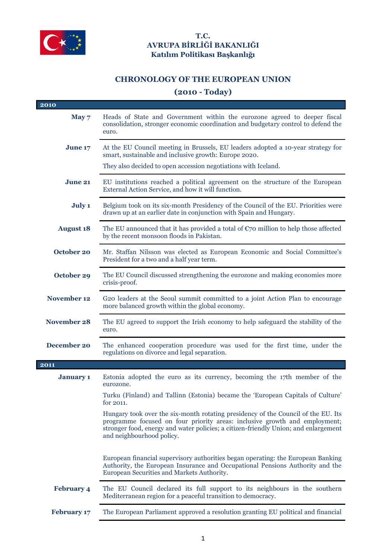

## **T.C. AVRUPA BİRLİĞİ BAKANLIĞI Katılım Politikası Başkanlığı**

## **CHRONOLOGY OF THE EUROPEAN UNION**

## **(2010 - Today)**

| 2010               |                                                                                                                                                                                                                                                                                     |
|--------------------|-------------------------------------------------------------------------------------------------------------------------------------------------------------------------------------------------------------------------------------------------------------------------------------|
| May 7              | Heads of State and Government within the eurozone agreed to deeper fiscal<br>consolidation, stronger economic coordination and budgetary control to defend the<br>euro.                                                                                                             |
| June 17            | At the EU Council meeting in Brussels, EU leaders adopted a 10-year strategy for<br>smart, sustainable and inclusive growth: Europe 2020.                                                                                                                                           |
|                    | They also decided to open accession negotiations with Iceland.                                                                                                                                                                                                                      |
| <b>June 21</b>     | EU institutions reached a political agreement on the structure of the European<br>External Action Service, and how it will function.                                                                                                                                                |
| July 1             | Belgium took on its six-month Presidency of the Council of the EU. Priorities were<br>drawn up at an earlier date in conjunction with Spain and Hungary.                                                                                                                            |
| <b>August 18</b>   | The EU announced that it has provided a total of $\mathfrak{C}$ million to help those affected<br>by the recent monsoon floods in Pakistan.                                                                                                                                         |
| October 20         | Mr. Staffan Nilsson was elected as European Economic and Social Committee's<br>President for a two and a half year term.                                                                                                                                                            |
| October 29         | The EU Council discussed strengthening the eurozone and making economies more<br>crisis-proof.                                                                                                                                                                                      |
| <b>November 12</b> | G20 leaders at the Seoul summit committed to a joint Action Plan to encourage<br>more balanced growth within the global economy.                                                                                                                                                    |
| November 28        | The EU agreed to support the Irish economy to help safeguard the stability of the<br>euro.                                                                                                                                                                                          |
| December 20        | The enhanced cooperation procedure was used for the first time, under the<br>regulations on divorce and legal separation.                                                                                                                                                           |
| 2011               |                                                                                                                                                                                                                                                                                     |
| <b>January 1</b>   | Estonia adopted the euro as its currency, becoming the 17th member of the<br>eurozone.                                                                                                                                                                                              |
|                    | Turku (Finland) and Tallinn (Estonia) became the 'European Capitals of Culture'<br>for 2011.                                                                                                                                                                                        |
|                    | Hungary took over the six-month rotating presidency of the Council of the EU. Its<br>programme focused on four priority areas: inclusive growth and employment;<br>stronger food, energy and water policies; a citizen-friendly Union; and enlargement<br>and neighbourhood policy. |
|                    | European financial supervisory authorities began operating: the European Banking<br>Authority, the European Insurance and Occupational Pensions Authority and the<br>European Securities and Markets Authority.                                                                     |
| <b>February 4</b>  | The EU Council declared its full support to its neighbours in the southern<br>Mediterranean region for a peaceful transition to democracy.                                                                                                                                          |
| <b>February 17</b> | The European Parliament approved a resolution granting EU political and financial                                                                                                                                                                                                   |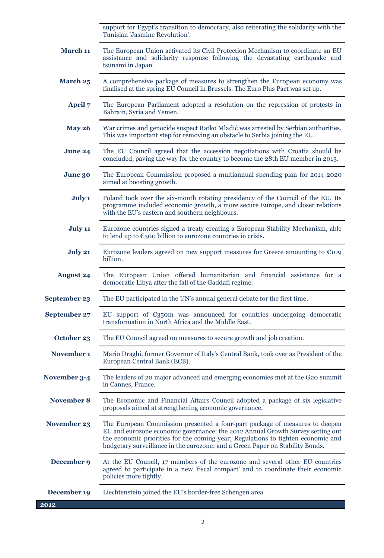support for Egypt's transition to democracy, also reiterating the solidarity with the Tunisian 'Jasmine Revolution'.

- **March 11** The European Union activated its Civil Protection Mechanism to coordinate an EU assistance and solidarity response following the devastating earthquake and tsunami in Japan.
- **March 25** A comprehensive package of measures to strengthen the European economy was finalised at the spring EU Council in Brussels. The Euro Plus Pact was set up.
	- **April 7** The European Parliament adopted a resolution on the repression of protests in Bahrain, Syria and Yemen.
	- **May 26** War crimes and genocide suspect Ratko Mladić was arrested by Serbian authorities. This was important step for removing an obstacle to Serbia joining the EU.
	- **June 24** The EU Council agreed that the accession negotiations with Croatia should be concluded, paving the way for the country to become the 28th EU member in 2013.
	- **June 30** The European Commission proposed a multiannual spending plan for 2014-2020 aimed at boosting growth.
		- **July 1** Poland took over the six-month rotating presidency of the Council of the EU. Its programme included economic growth, a more secure Europe, and closer relations with the EU's eastern and southern neighbours.
		- **July 11** Eurozone countries signed a treaty creating a European Stability Mechanism, able to lend up to  $\epsilon$ 500 billion to eurozone countries in crisis.
	- **July 21** Eurozone leaders agreed on new support measures for Greece amounting to €109 billion.
- **August 24** The European Union offered humanitarian and financial assistance for a democratic Libya after the fall of the Gaddafi regime.
- **September 23** The EU participated in the UN's annual general debate for the first time.
- **September 27** EU support of  $\epsilon$ 350m was announced for countries undergoing democratic transformation in North Africa and the Middle East.
	- **October 23** The EU Council agreed on measures to secure growth and job creation.
- **November 1** Mario Draghi, former Governor of Italy's Central Bank, took over as President of the European Central Bank (ECB).
- **November 3-4** The leaders of 20 major advanced and emerging economies met at the G20 summit in Cannes, France.
- **November 8** The Economic and Financial Affairs Council adopted a package of six legislative proposals aimed at strengthening economic governance.
- **November 23** The European Commission presented a four-part package of measures to deepen EU and eurozone economic governance: the 2012 Annual Growth Survey setting out the economic priorities for the coming year; Regulations to tighten economic and budgetary surveillance in the eurozone; and a Green Paper on Stability Bonds.
- **December 9** At the EU Council, 17 members of the eurozone and several other EU countries agreed to participate in a new 'fiscal compact' and to coordinate their economic policies more tightly.
- **December 19** Liechtenstein joined the EU's border-free Schengen area.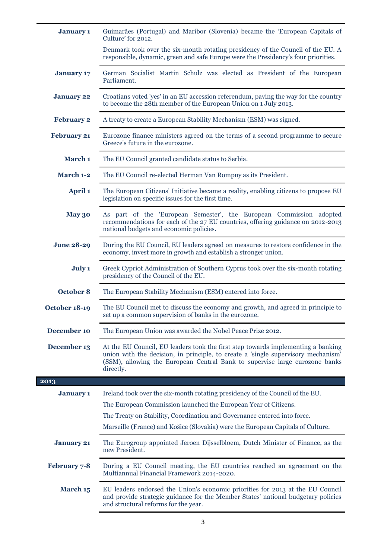| <b>January 1</b>    | Guimarães (Portugal) and Maribor (Slovenia) became the 'European Capitals of<br>Culture' for 2012.                                                                                                                                                                                                              |
|---------------------|-----------------------------------------------------------------------------------------------------------------------------------------------------------------------------------------------------------------------------------------------------------------------------------------------------------------|
|                     | Denmark took over the six-month rotating presidency of the Council of the EU. A<br>responsible, dynamic, green and safe Europe were the Presidency's four priorities.                                                                                                                                           |
| <b>January 17</b>   | German Socialist Martin Schulz was elected as President of the European<br>Parliament.                                                                                                                                                                                                                          |
| <b>January 22</b>   | Croatians voted 'yes' in an EU accession referendum, paving the way for the country<br>to become the 28th member of the European Union on 1 July 2013.                                                                                                                                                          |
| <b>February 2</b>   | A treaty to create a European Stability Mechanism (ESM) was signed.                                                                                                                                                                                                                                             |
| <b>February 21</b>  | Eurozone finance ministers agreed on the terms of a second programme to secure<br>Greece's future in the eurozone.                                                                                                                                                                                              |
| March 1             | The EU Council granted candidate status to Serbia.                                                                                                                                                                                                                                                              |
| March 1-2           | The EU Council re-elected Herman Van Rompuy as its President.                                                                                                                                                                                                                                                   |
| <b>April 1</b>      | The European Citizens' Initiative became a reality, enabling citizens to propose EU<br>legislation on specific issues for the first time.                                                                                                                                                                       |
| <b>May 30</b>       | As part of the 'European Semester', the European Commission adopted<br>recommendations for each of the 27 EU countries, offering guidance on 2012-2013<br>national budgets and economic policies.                                                                                                               |
| <b>June 28-29</b>   | During the EU Council, EU leaders agreed on measures to restore confidence in the<br>economy, invest more in growth and establish a stronger union.                                                                                                                                                             |
| July 1              | Greek Cypriot Administration of Southern Cyprus took over the six-month rotating<br>presidency of the Council of the EU.                                                                                                                                                                                        |
| October 8           | The European Stability Mechanism (ESM) entered into force.                                                                                                                                                                                                                                                      |
| October 18-19       | The EU Council met to discuss the economy and growth, and agreed in principle to<br>set up a common supervision of banks in the eurozone.                                                                                                                                                                       |
| December 10         | The European Union was awarded the Nobel Peace Prize 2012.                                                                                                                                                                                                                                                      |
| December 13         | At the EU Council, EU leaders took the first step towards implementing a banking<br>union with the decision, in principle, to create a 'single supervisory mechanism'<br>(SSM), allowing the European Central Bank to supervise large eurozone banks<br>directly.                                               |
| 2013                |                                                                                                                                                                                                                                                                                                                 |
| <b>January 1</b>    | Ireland took over the six-month rotating presidency of the Council of the EU.<br>The European Commission launched the European Year of Citizens.<br>The Treaty on Stability, Coordination and Governance entered into force.<br>Marseille (France) and Košice (Slovakia) were the European Capitals of Culture. |
| <b>January 21</b>   | The Eurogroup appointed Jeroen Dijsselbloem, Dutch Minister of Finance, as the<br>new President.                                                                                                                                                                                                                |
| <b>February 7-8</b> | During a EU Council meeting, the EU countries reached an agreement on the<br>Multiannual Financial Framework 2014-2020.                                                                                                                                                                                         |
| March 15            | EU leaders endorsed the Union's economic priorities for 2013 at the EU Council<br>and provide strategic guidance for the Member States' national budgetary policies<br>and structural reforms for the year.                                                                                                     |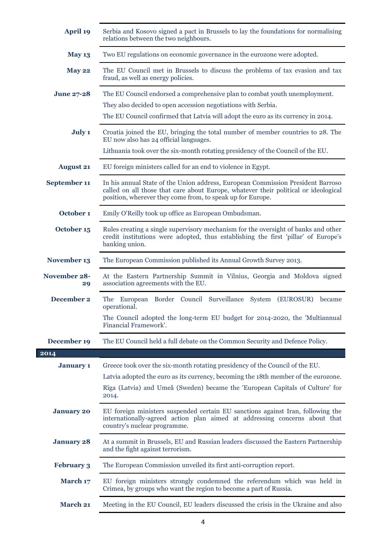| <b>April 19</b>           | Serbia and Kosovo signed a pact in Brussels to lay the foundations for normalising<br>relations between the two neighbours.                                                                                                                                  |
|---------------------------|--------------------------------------------------------------------------------------------------------------------------------------------------------------------------------------------------------------------------------------------------------------|
| <b>May 13</b>             | Two EU regulations on economic governance in the eurozone were adopted.                                                                                                                                                                                      |
| <b>May 22</b>             | The EU Council met in Brussels to discuss the problems of tax evasion and tax<br>fraud, as well as energy policies.                                                                                                                                          |
| <b>June 27-28</b>         | The EU Council endorsed a comprehensive plan to combat youth unemployment.<br>They also decided to open accession negotiations with Serbia.<br>The EU Council confirmed that Latvia will adopt the euro as its currency in 2014.                             |
| July 1                    | Croatia joined the EU, bringing the total number of member countries to 28. The<br>EU now also has 24 official languages.<br>Lithuania took over the six-month rotating presidency of the Council of the EU.                                                 |
| <b>August 21</b>          | EU foreign ministers called for an end to violence in Egypt.                                                                                                                                                                                                 |
| September 11              | In his annual State of the Union address, European Commission President Barroso<br>called on all those that care about Europe, whatever their political or ideological<br>position, wherever they come from, to speak up for Europe.                         |
| October 1                 | Emily O'Reilly took up office as European Ombudsman.                                                                                                                                                                                                         |
| October 15                | Rules creating a single supervisory mechanism for the oversight of banks and other<br>credit institutions were adopted, thus establishing the first 'pillar' of Europe's<br>banking union.                                                                   |
| November 13               | The European Commission published its Annual Growth Survey 2013.                                                                                                                                                                                             |
| <b>November 28-</b><br>29 | At the Eastern Partnership Summit in Vilnius, Georgia and Moldova signed<br>association agreements with the EU.                                                                                                                                              |
| December 2                | Border Council Surveillance System (EUROSUR)<br>The<br>European<br>became<br>operational.<br>The Council adopted the long-term EU budget for 2014-2020, the 'Multiannual<br>Financial Framework'.                                                            |
| December 19               | The EU Council held a full debate on the Common Security and Defence Policy.                                                                                                                                                                                 |
| 2014                      |                                                                                                                                                                                                                                                              |
| <b>January 1</b>          | Greece took over the six-month rotating presidency of the Council of the EU.<br>Latvia adopted the euro as its currency, becoming the 18th member of the eurozone.<br>Riga (Latvia) and Umeå (Sweden) became the 'European Capitals of Culture' for<br>2014. |
| <b>January 20</b>         | EU foreign ministers suspended certain EU sanctions against Iran, following the<br>internationally-agreed action plan aimed at addressing concerns about that<br>country's nuclear programme.                                                                |
| <b>January 28</b>         | At a summit in Brussels, EU and Russian leaders discussed the Eastern Partnership<br>and the fight against terrorism.                                                                                                                                        |
| <b>February 3</b>         | The European Commission unveiled its first anti-corruption report.                                                                                                                                                                                           |
| March 17                  | EU foreign ministers strongly condemned the referendum which was held in<br>Crimea, by groups who want the region to become a part of Russia.                                                                                                                |
| <b>March 21</b>           | Meeting in the EU Council, EU leaders discussed the crisis in the Ukraine and also                                                                                                                                                                           |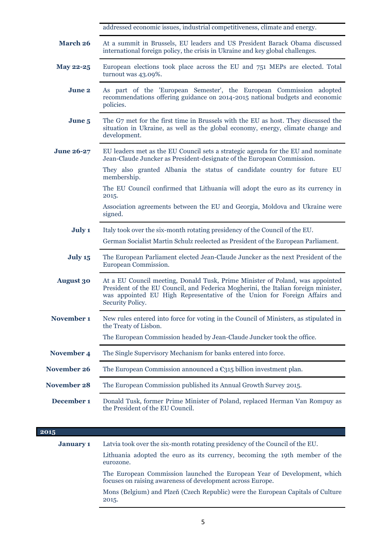|                    | addressed economic issues, industrial competitiveness, climate and energy.                                                                                                                                                                                           |
|--------------------|----------------------------------------------------------------------------------------------------------------------------------------------------------------------------------------------------------------------------------------------------------------------|
| <b>March 26</b>    | At a summit in Brussels, EU leaders and US President Barack Obama discussed<br>international foreign policy, the crisis in Ukraine and key global challenges.                                                                                                        |
| <b>May 22-25</b>   | European elections took place across the EU and 751 MEPs are elected. Total<br>turnout was 43.09%.                                                                                                                                                                   |
| <b>June 2</b>      | As part of the 'European Semester', the European Commission adopted<br>recommendations offering guidance on 2014-2015 national budgets and economic<br>policies.                                                                                                     |
| June 5             | The G7 met for the first time in Brussels with the EU as host. They discussed the<br>situation in Ukraine, as well as the global economy, energy, climate change and<br>development.                                                                                 |
| <b>June 26-27</b>  | EU leaders met as the EU Council sets a strategic agenda for the EU and nominate<br>Jean-Claude Juncker as President-designate of the European Commission.                                                                                                           |
|                    | They also granted Albania the status of candidate country for future EU<br>membership.                                                                                                                                                                               |
|                    | The EU Council confirmed that Lithuania will adopt the euro as its currency in<br>2015.                                                                                                                                                                              |
|                    | Association agreements between the EU and Georgia, Moldova and Ukraine were<br>signed.                                                                                                                                                                               |
| July 1             | Italy took over the six-month rotating presidency of the Council of the EU.                                                                                                                                                                                          |
|                    | German Socialist Martin Schulz reelected as President of the European Parliament.                                                                                                                                                                                    |
| July 15            | The European Parliament elected Jean-Claude Juncker as the next President of the<br>European Commission.                                                                                                                                                             |
| <b>August 30</b>   | At a EU Council meeting, Donald Tusk, Prime Minister of Poland, was appointed<br>President of the EU Council, and Federica Mogherini, the Italian foreign minister,<br>was appointed EU High Representative of the Union for Foreign Affairs and<br>Security Policy. |
| November 1         | New rules entered into force for voting in the Council of Ministers, as stipulated in<br>the Treaty of Lisbon.                                                                                                                                                       |
|                    | The European Commission headed by Jean-Claude Juncker took the office.                                                                                                                                                                                               |
| November 4         | The Single Supervisory Mechanism for banks entered into force.                                                                                                                                                                                                       |
| <b>November 26</b> | The European Commission announced a $\epsilon_{315}$ billion investment plan.                                                                                                                                                                                        |
| <b>November 28</b> | The European Commission published its Annual Growth Survey 2015.                                                                                                                                                                                                     |
| December 1         | Donald Tusk, former Prime Minister of Poland, replaced Herman Van Rompuy as<br>the President of the EU Council.                                                                                                                                                      |

| 2015             |                                                                                                                                        |
|------------------|----------------------------------------------------------------------------------------------------------------------------------------|
| <b>January 1</b> | Latvia took over the six-month rotating presidency of the Council of the EU.                                                           |
|                  | Lithuania adopted the euro as its currency, becoming the 19th member of the<br>eurozone.                                               |
|                  | The European Commission launched the European Year of Development, which<br>focuses on raising awareness of development across Europe. |
|                  | Mons (Belgium) and Plzeň (Czech Republic) were the European Capitals of Culture<br>2015.                                               |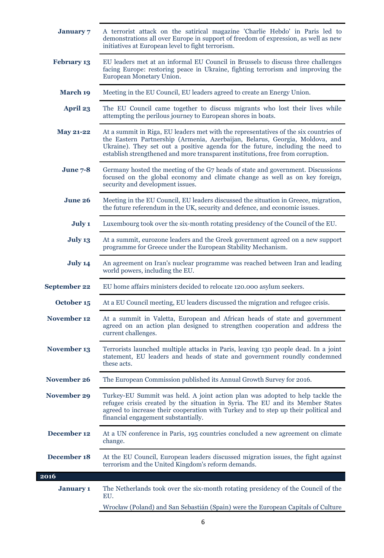| <b>January</b> 7    | A terrorist attack on the satirical magazine 'Charlie Hebdo' in Paris led to<br>demonstrations all over Europe in support of freedom of expression, as well as new<br>initiatives at European level to fight terrorism.                                                                                                                   |
|---------------------|-------------------------------------------------------------------------------------------------------------------------------------------------------------------------------------------------------------------------------------------------------------------------------------------------------------------------------------------|
| <b>February 13</b>  | EU leaders met at an informal EU Council in Brussels to discuss three challenges<br>facing Europe: restoring peace in Ukraine, fighting terrorism and improving the<br>European Monetary Union.                                                                                                                                           |
| <b>March 19</b>     | Meeting in the EU Council, EU leaders agreed to create an Energy Union.                                                                                                                                                                                                                                                                   |
| <b>April 23</b>     | The EU Council came together to discuss migrants who lost their lives while<br>attempting the perilous journey to European shores in boats.                                                                                                                                                                                               |
| <b>May 21-22</b>    | At a summit in Riga, EU leaders met with the representatives of the six countries of<br>the Eastern Partnership (Armenia, Azerbaijan, Belarus, Georgia, Moldova, and<br>Ukraine). They set out a positive agenda for the future, including the need to<br>establish strengthened and more transparent institutions, free from corruption. |
| <b>June 7-8</b>     | Germany hosted the meeting of the G7 heads of state and government. Discussions<br>focused on the global economy and climate change as well as on key foreign,<br>security and development issues.                                                                                                                                        |
| <b>June 26</b>      | Meeting in the EU Council, EU leaders discussed the situation in Greece, migration,<br>the future referendum in the UK, security and defence, and economic issues.                                                                                                                                                                        |
| July 1              | Luxembourg took over the six-month rotating presidency of the Council of the EU.                                                                                                                                                                                                                                                          |
| July 13             | At a summit, eurozone leaders and the Greek government agreed on a new support<br>programme for Greece under the European Stability Mechanism.                                                                                                                                                                                            |
| July 14             | An agreement on Iran's nuclear programme was reached between Iran and leading<br>world powers, including the EU.                                                                                                                                                                                                                          |
| <b>September 22</b> | EU home affairs ministers decided to relocate 120.000 asylum seekers.                                                                                                                                                                                                                                                                     |
| October 15          | At a EU Council meeting, EU leaders discussed the migration and refugee crisis.                                                                                                                                                                                                                                                           |
| <b>November 12</b>  | At a summit in Valetta, European and African heads of state and government<br>agreed on an action plan designed to strengthen cooperation and address the<br>current challenges.                                                                                                                                                          |
| November 13         | Terrorists launched multiple attacks in Paris, leaving 130 people dead. In a joint<br>statement, EU leaders and heads of state and government roundly condemned<br>these acts.                                                                                                                                                            |
| November 26         | The European Commission published its Annual Growth Survey for 2016.                                                                                                                                                                                                                                                                      |
| November 29         | Turkey-EU Summit was held. A joint action plan was adopted to help tackle the<br>refugee crisis created by the situation in Syria. The EU and its Member States<br>agreed to increase their cooperation with Turkey and to step up their political and<br>financial engagement substantially.                                             |
| December 12         | At a UN conference in Paris, 195 countries concluded a new agreement on climate<br>change.                                                                                                                                                                                                                                                |
| December 18         | At the EU Council, European leaders discussed migration issues, the fight against<br>terrorism and the United Kingdom's reform demands.                                                                                                                                                                                                   |
| 2016                |                                                                                                                                                                                                                                                                                                                                           |
| <b>January 1</b>    | The Netherlands took over the six-month rotating presidency of the Council of the<br>EU.                                                                                                                                                                                                                                                  |
|                     | Wrocław (Poland) and San Sebastián (Spain) were the European Capitals of Culture                                                                                                                                                                                                                                                          |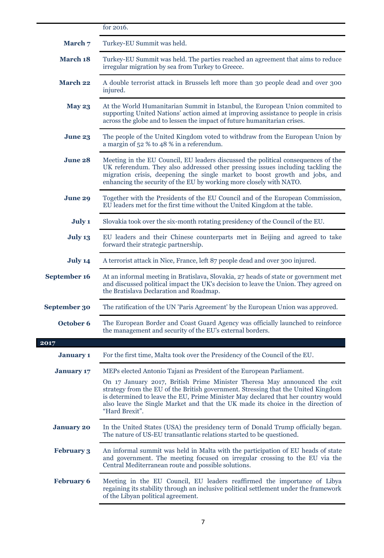|                   | for 2016.                                                                                                                                                                                                                                                                                                                                                 |
|-------------------|-----------------------------------------------------------------------------------------------------------------------------------------------------------------------------------------------------------------------------------------------------------------------------------------------------------------------------------------------------------|
| March 7           | Turkey-EU Summit was held.                                                                                                                                                                                                                                                                                                                                |
| March 18          | Turkey-EU Summit was held. The parties reached an agreement that aims to reduce<br>irregular migration by sea from Turkey to Greece.                                                                                                                                                                                                                      |
| <b>March 22</b>   | A double terrorist attack in Brussels left more than 30 people dead and over 300<br>injured.                                                                                                                                                                                                                                                              |
| <b>May 23</b>     | At the World Humanitarian Summit in Istanbul, the European Union commited to<br>supporting United Nations' action aimed at improving assistance to people in crisis<br>across the globe and to lessen the impact of future humanitarian crises.                                                                                                           |
| June 23           | The people of the United Kingdom voted to withdraw from the European Union by<br>a margin of 52 % to 48 % in a referendum.                                                                                                                                                                                                                                |
| June 28           | Meeting in the EU Council, EU leaders discussed the political consequences of the<br>UK referendum. They also addressed other pressing issues including tackling the<br>migration crisis, deepening the single market to boost growth and jobs, and<br>enhancing the security of the EU by working more closely with NATO.                                |
| June 29           | Together with the Presidents of the EU Council and of the European Commission,<br>EU leaders met for the first time without the United Kingdom at the table.                                                                                                                                                                                              |
| July 1            | Slovakia took over the six-month rotating presidency of the Council of the EU.                                                                                                                                                                                                                                                                            |
| July 13           | EU leaders and their Chinese counterparts met in Beijing and agreed to take<br>forward their strategic partnership.                                                                                                                                                                                                                                       |
| July 14           | A terrorist attack in Nice, France, left 87 people dead and over 300 injured.                                                                                                                                                                                                                                                                             |
| September 16      | At an informal meeting in Bratislava, Slovakia, 27 heads of state or government met<br>and discussed political impact the UK's decision to leave the Union. They agreed on<br>the Bratislava Declaration and Roadmap.                                                                                                                                     |
| September 30      | The ratification of the UN 'Paris Agreement' by the European Union was approved.                                                                                                                                                                                                                                                                          |
| October 6         | The European Border and Coast Guard Agency was officially launched to reinforce<br>the management and security of the EU's external borders.                                                                                                                                                                                                              |
| 2017              |                                                                                                                                                                                                                                                                                                                                                           |
| <b>January 1</b>  | For the first time, Malta took over the Presidency of the Council of the EU.                                                                                                                                                                                                                                                                              |
| <b>January 17</b> | MEPs elected Antonio Tajani as President of the European Parliament.                                                                                                                                                                                                                                                                                      |
|                   | On 17 January 2017, British Prime Minister Theresa May announced the exit<br>strategy from the EU of the British government. Stressing that the United Kingdom<br>is determined to leave the EU, Prime Minister May declared that her country would<br>also leave the Single Market and that the UK made its choice in the direction of<br>"Hard Brexit". |
| <b>January 20</b> | In the United States (USA) the presidency term of Donald Trump officially began.<br>The nature of US-EU transatlantic relations started to be questioned.                                                                                                                                                                                                 |
| <b>February 3</b> | An informal summit was held in Malta with the participation of EU heads of state<br>and government. The meeting focused on irregular crossing to the EU via the<br>Central Mediterranean route and possible solutions.                                                                                                                                    |
| <b>February 6</b> | Meeting in the EU Council, EU leaders reaffirmed the importance of Libya<br>regaining its stability through an inclusive political settlement under the framework<br>of the Libyan political agreement.                                                                                                                                                   |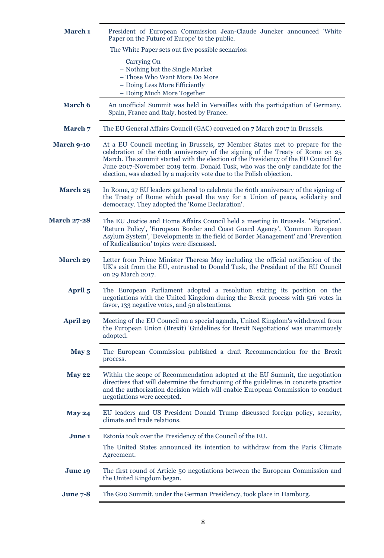| March 1            | President of European Commission Jean-Claude Juncker announced 'White<br>Paper on the Future of Europe' to the public.                                                                                                                                                                                                                                                                                            |
|--------------------|-------------------------------------------------------------------------------------------------------------------------------------------------------------------------------------------------------------------------------------------------------------------------------------------------------------------------------------------------------------------------------------------------------------------|
|                    | The White Paper sets out five possible scenarios:                                                                                                                                                                                                                                                                                                                                                                 |
|                    | - Carrying On<br>- Nothing but the Single Market<br>- Those Who Want More Do More<br>- Doing Less More Efficiently<br>- Doing Much More Together                                                                                                                                                                                                                                                                  |
| <b>March 6</b>     | An unofficial Summit was held in Versailles with the participation of Germany,<br>Spain, France and Italy, hosted by France.                                                                                                                                                                                                                                                                                      |
| March 7            | The EU General Affairs Council (GAC) convened on 7 March 2017 in Brussels.                                                                                                                                                                                                                                                                                                                                        |
| <b>March 9-10</b>  | At a EU Council meeting in Brussels, 27 Member States met to prepare for the<br>celebration of the 60th anniversary of the signing of the Treaty of Rome on $25$<br>March. The summit started with the election of the Presidency of the EU Council for<br>June 2017-November 2019 term. Donald Tusk, who was the only candidate for the<br>election, was elected by a majority vote due to the Polish objection. |
| March 25           | In Rome, 27 EU leaders gathered to celebrate the 60th anniversary of the signing of<br>the Treaty of Rome which paved the way for a Union of peace, solidarity and<br>democracy. They adopted the 'Rome Declaration'.                                                                                                                                                                                             |
| <b>March 27-28</b> | The EU Justice and Home Affairs Council held a meeting in Brussels. 'Migration',<br>'Return Policy', 'European Border and Coast Guard Agency', 'Common European<br>Asylum System', 'Developments in the field of Border Management' and 'Prevention<br>of Radicalisation' topics were discussed.                                                                                                                  |
| <b>March 29</b>    | Letter from Prime Minister Theresa May including the official notification of the<br>UK's exit from the EU, entrusted to Donald Tusk, the President of the EU Council<br>on 29 March 2017.                                                                                                                                                                                                                        |
| April 5            | The European Parliament adopted a resolution stating its position on the<br>negotiations with the United Kingdom during the Brexit process with 516 votes in<br>favor, 133 negative votes, and 50 abstentions.                                                                                                                                                                                                    |
| <b>April 29</b>    | Meeting of the EU Council on a special agenda, United Kingdom's withdrawal from<br>the European Union (Brexit) 'Guidelines for Brexit Negotiations' was unanimously<br>adopted.                                                                                                                                                                                                                                   |
| May 3              | The European Commission published a draft Recommendation for the Brexit<br>process.                                                                                                                                                                                                                                                                                                                               |
| <b>May 22</b>      | Within the scope of Recommendation adopted at the EU Summit, the negotiation<br>directives that will determine the functioning of the guidelines in concrete practice<br>and the authorization decision which will enable European Commission to conduct<br>negotiations were accepted.                                                                                                                           |
| <b>May 24</b>      | EU leaders and US President Donald Trump discussed foreign policy, security,<br>climate and trade relations.                                                                                                                                                                                                                                                                                                      |
| <b>June 1</b>      | Estonia took over the Presidency of the Council of the EU.                                                                                                                                                                                                                                                                                                                                                        |
|                    | The United States announced its intention to withdraw from the Paris Climate<br>Agreement.                                                                                                                                                                                                                                                                                                                        |
| June 19            | The first round of Article 50 negotiations between the European Commission and<br>the United Kingdom began.                                                                                                                                                                                                                                                                                                       |
| <b>June 7-8</b>    | The G20 Summit, under the German Presidency, took place in Hamburg.                                                                                                                                                                                                                                                                                                                                               |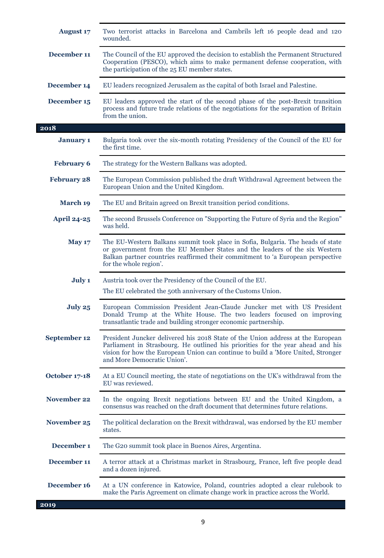| <b>August 17</b>   | Two terrorist attacks in Barcelona and Cambrils left 16 people dead and 120<br>wounded.                                                                                                                                                                                               |
|--------------------|---------------------------------------------------------------------------------------------------------------------------------------------------------------------------------------------------------------------------------------------------------------------------------------|
| December 11        | The Council of the EU approved the decision to establish the Permanent Structured<br>Cooperation (PESCO), which aims to make permanent defense cooperation, with<br>the participation of the 25 EU member states.                                                                     |
| December 14        | EU leaders recognized Jerusalem as the capital of both Israel and Palestine.                                                                                                                                                                                                          |
| December 15        | EU leaders approved the start of the second phase of the post-Brexit transition<br>process and future trade relations of the negotiations for the separation of Britain<br>from the union.                                                                                            |
| 2018               |                                                                                                                                                                                                                                                                                       |
| <b>January 1</b>   | Bulgaria took over the six-month rotating Presidency of the Council of the EU for<br>the first time.                                                                                                                                                                                  |
| <b>February 6</b>  | The strategy for the Western Balkans was adopted.                                                                                                                                                                                                                                     |
| <b>February 28</b> | The European Commission published the draft Withdrawal Agreement between the<br>European Union and the United Kingdom.                                                                                                                                                                |
| <b>March 19</b>    | The EU and Britain agreed on Brexit transition period conditions.                                                                                                                                                                                                                     |
| <b>April 24-25</b> | The second Brussels Conference on "Supporting the Future of Syria and the Region"<br>was held.                                                                                                                                                                                        |
| <b>May 17</b>      | The EU-Western Balkans summit took place in Sofia, Bulgaria. The heads of state<br>or government from the EU Member States and the leaders of the six Western<br>Balkan partner countries reaffirmed their commitment to 'a European perspective<br>for the whole region'.            |
| July 1             | Austria took over the Presidency of the Council of the EU.                                                                                                                                                                                                                            |
|                    | The EU celebrated the 50th anniversary of the Customs Union.                                                                                                                                                                                                                          |
| July 25            | European Commission President Jean-Claude Juncker met with US President<br>Donald Trump at the White House. The two leaders focused on improving<br>transatlantic trade and building stronger economic partnership.                                                                   |
| September 12       | President Juncker delivered his 2018 State of the Union address at the European<br>Parliament in Strasbourg. He outlined his priorities for the year ahead and his<br>vision for how the European Union can continue to build a 'More United, Stronger<br>and More Democratic Union'. |
| October 17-18      | At a EU Council meeting, the state of negotiations on the UK's withdrawal from the<br>EU was reviewed.                                                                                                                                                                                |
| <b>November 22</b> | In the ongoing Brexit negotiations between EU and the United Kingdom, a<br>consensus was reached on the draft document that determines future relations.                                                                                                                              |
| <b>November 25</b> | The political declaration on the Brexit withdrawal, was endorsed by the EU member<br>states.                                                                                                                                                                                          |
| December 1         | The G20 summit took place in Buenos Aires, Argentina.                                                                                                                                                                                                                                 |
| December 11        | A terror attack at a Christmas market in Strasbourg, France, left five people dead<br>and a dozen injured.                                                                                                                                                                            |
| December 16        | At a UN conference in Katowice, Poland, countries adopted a clear rulebook to<br>make the Paris Agreement on climate change work in practice across the World.                                                                                                                        |
| 2019               |                                                                                                                                                                                                                                                                                       |

I